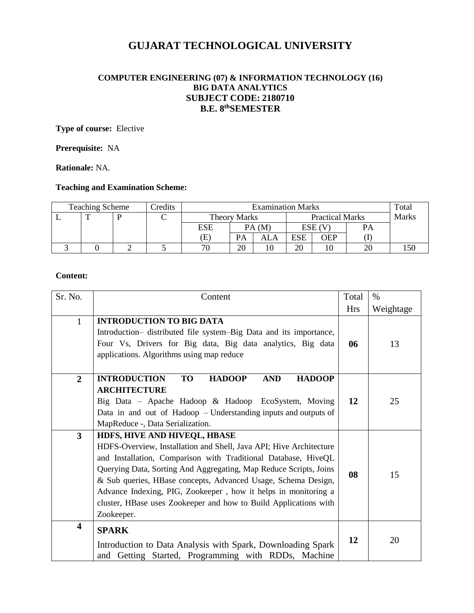# **GUJARAT TECHNOLOGICAL UNIVERSITY**

# **COMPUTER ENGINEERING (07) & INFORMATION TECHNOLOGY (16) BIG DATA ANALYTICS SUBJECT CODE: 2180710 B.E. 8 thSEMESTER**

**Type of course:** Elective

# **Prerequisite:** NA

#### **Rationale:** NA.

# **Teaching and Examination Scheme:**

| <b>Teaching Scheme</b> |  |  | Credits | <b>Examination Marks</b> |    |                        |            | Total |              |  |
|------------------------|--|--|---------|--------------------------|----|------------------------|------------|-------|--------------|--|
|                        |  |  |         | <b>Theory Marks</b>      |    | <b>Practical Marks</b> |            |       | <b>Marks</b> |  |
|                        |  |  |         | ESE                      |    | PA(M)                  |            | ESE ( | PА           |  |
|                        |  |  |         | Œ                        | PA | ALA                    | <b>ESE</b> | OEP   |              |  |
|                        |  |  |         | חר                       | 20 | 10                     | 20         |       |              |  |

#### **Content:**

| Sr. No.                 | Content                                                                                                                                                                                                                                                                                                                                                                                                                                                        | Total      | $\%$      |
|-------------------------|----------------------------------------------------------------------------------------------------------------------------------------------------------------------------------------------------------------------------------------------------------------------------------------------------------------------------------------------------------------------------------------------------------------------------------------------------------------|------------|-----------|
|                         |                                                                                                                                                                                                                                                                                                                                                                                                                                                                | <b>Hrs</b> | Weightage |
| $\mathbf{1}$            | <b>INTRODUCTION TO BIG DATA</b><br>Introduction- distributed file system-Big Data and its importance,<br>Four Vs, Drivers for Big data, Big data analytics, Big data<br>applications. Algorithms using map reduce                                                                                                                                                                                                                                              | 06         | 13        |
| $\overline{2}$          | <b>HADOOP</b><br><b>HADOOP</b><br><b>INTRODUCTION</b><br><b>TO</b><br><b>AND</b><br><b>ARCHITECTURE</b><br>Big Data – Apache Hadoop & Hadoop EcoSystem, Moving<br>Data in and out of Hadoop – Understanding inputs and outputs of<br>MapReduce -, Data Serialization.                                                                                                                                                                                          | 12         | 25        |
| $\overline{\mathbf{3}}$ | HDFS, HIVE AND HIVEQL, HBASE<br>HDFS-Overview, Installation and Shell, Java API; Hive Architecture<br>and Installation, Comparison with Traditional Database, HiveQL<br>Querying Data, Sorting And Aggregating, Map Reduce Scripts, Joins<br>& Sub queries, HBase concepts, Advanced Usage, Schema Design,<br>Advance Indexing, PIG, Zookeeper, how it helps in monitoring a<br>cluster, HBase uses Zookeeper and how to Build Applications with<br>Zookeeper. | 08         | 15        |
| 4                       | <b>SPARK</b><br>Introduction to Data Analysis with Spark, Downloading Spark<br>and Getting Started, Programming with RDDs, Machine                                                                                                                                                                                                                                                                                                                             | 12         | 20        |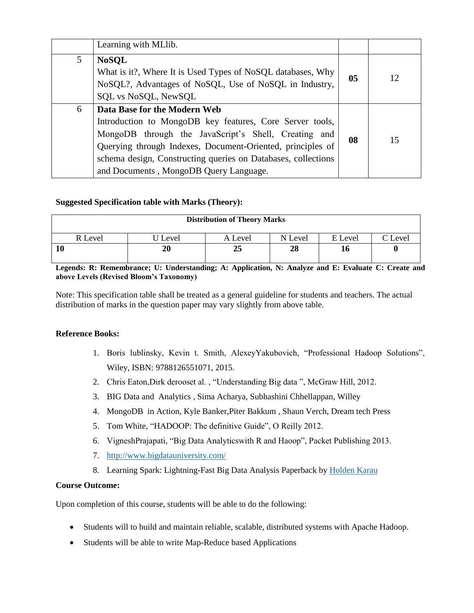|   | Learning with MLlib.                                                                                                                                                                                                                                                                                                      |    |    |
|---|---------------------------------------------------------------------------------------------------------------------------------------------------------------------------------------------------------------------------------------------------------------------------------------------------------------------------|----|----|
| 5 | <b>NoSQL</b><br>What is it?, Where It is Used Types of NoSQL databases, Why<br>NoSQL?, Advantages of NoSQL, Use of NoSQL in Industry,<br>SQL vs NoSQL, NewSQL                                                                                                                                                             | 05 | 12 |
| 6 | Data Base for the Modern Web<br>Introduction to MongoDB key features, Core Server tools,<br>MongoDB through the JavaScript's Shell, Creating and<br>Querying through Indexes, Document-Oriented, principles of<br>schema design, Constructing queries on Databases, collections<br>and Documents, MongoDB Query Language. | 08 | 15 |

#### **Suggested Specification table with Marks (Theory):**

| <b>Distribution of Theory Marks</b> |       |         |         |         |         |  |  |  |
|-------------------------------------|-------|---------|---------|---------|---------|--|--|--|
| R Level                             | Level | A Level | N Level | E Level | C Level |  |  |  |
|                                     | 20    | 25      | 28      | 16      |         |  |  |  |

**Legends: R: Remembrance; U: Understanding; A: Application, N: Analyze and E: Evaluate C: Create and above Levels (Revised Bloom's Taxonomy)**

Note: This specification table shall be treated as a general guideline for students and teachers. The actual distribution of marks in the question paper may vary slightly from above table.

#### **Reference Books:**

- 1. Boris lublinsky, Kevin t. Smith, AlexeyYakubovich, "Professional Hadoop Solutions", Wiley, ISBN: 9788126551071, 2015.
- 2. Chris Eaton,Dirk derooset al. , "Understanding Big data ", McGraw Hill, 2012.
- 3. BIG Data and Analytics , Sima Acharya, Subhashini Chhellappan, Willey
- 4. MongoDB in Action, Kyle Banker,Piter Bakkum , Shaun Verch, Dream tech Press
- 5. Tom White, "HADOOP: The definitive Guide", O Reilly 2012.
- 6. VigneshPrajapati, "Big Data Analyticswith R and Haoop", Packet Publishing 2013.
- 7. <http://www.bigdatauniversity.com/>
- 8. Learning Spark: Lightning-Fast Big Data Analysis Paperback by [Holden Karau](http://www.amazon.in/Holden-Karau/e/B00G4JS6IO/ref=dp_byline_cont_book_1)

#### **Course Outcome:**

Upon completion of this course, students will be able to do the following:

- Students will to build and maintain reliable, scalable, distributed systems with Apache Hadoop.
- Students will be able to write Map-Reduce based Applications